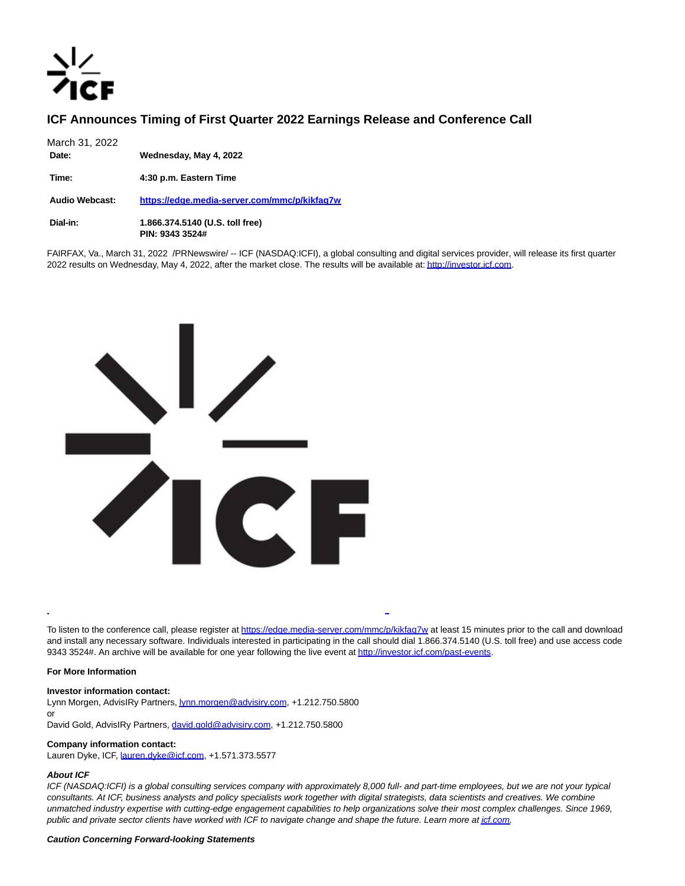# **ICF Announces Timing of First Quarter 2022 Earnings Release and Conference Call**

| March 31, 2022<br>Date: | Wednesday, May 4, 2022                             |
|-------------------------|----------------------------------------------------|
| Time:                   | 4:30 p.m. Eastern Time                             |
| <b>Audio Webcast:</b>   | https://edge.media-server.com/mmc/p/kikfag7w       |
| Dial-in:                | 1.866.374.5140 (U.S. toll free)<br>PIN: 9343 3524# |

FAIRFAX, Va., March 31, 2022 /PRNewswire/ -- ICF (NASDAQ:ICFI), a global consulting and digital services provider, will release its first quarter 2022 results on Wednesday, May 4, 2022, after the market close. The results will be available at[: http://investor.icf.com.](https://c212.net/c/link/?t=0&l=en&o=3490679-1&h=3611221514&u=http%3A%2F%2Finvestor.icf.com%2F&a=http%3A%2F%2Finvestor.icf.com)



To listen to the conference call, please register at [https://edge.media-server.com/mmc/p/kikfaq7w a](https://c212.net/c/link/?t=0&l=en&o=3490679-1&h=2605600244&u=https%3A%2F%2Fedge.media-server.com%2Fmmc%2Fp%2Fkikfaq7w&a=https%3A%2F%2Fedge.media-server.com%2Fmmc%2Fp%2Fkikfaq7w)t least 15 minutes prior to the call and download and install any necessary software. Individuals interested in participating in the call should dial 1.866.374.5140 (U.S. toll free) and use access code 9343 3524#. An archive will be available for one year following the live event a[t http://investor.icf.com/past-events.](https://c212.net/c/link/?t=0&l=en&o=3490679-1&h=834286436&u=http%3A%2F%2Finvestor.icf.com%2Fpast-events&a=http%3A%2F%2Finvestor.icf.com%2Fpast-events)

L

# **For More Information**

### **Investor information contact:**

Lynn Morgen, AdvisIRy Partners, **lynn.morgen@advisiry.com**, +1.212.750.5800 or

David Gold, AdvisIRy Partners, [david.gold@advisiry.com,](mailto:david.gold@advisiry.com) +1.212.750.5800

# **Company information contact:**

Lauren Dyke, ICF, [lauren.dyke@icf.com,](mailto:lauren.dyke@icf.com) +1.571.373.5577

# **About ICF**

ICF (NASDAQ:ICFI) is a global consulting services company with approximately 8,000 full- and part-time employees, but we are not your typical consultants. At ICF, business analysts and policy specialists work together with digital strategists, data scientists and creatives. We combine unmatched industry expertise with cutting-edge engagement capabilities to help organizations solve their most complex challenges. Since 1969, public and private sector clients have worked with ICF to navigate change and shape the future. Learn more a[t icf.com.](https://c212.net/c/link/?t=0&l=en&o=3490679-1&h=3287289570&u=https%3A%2F%2Fwww.icf.com%2F&a=icf.com)

# **Caution Concerning Forward-looking Statements**